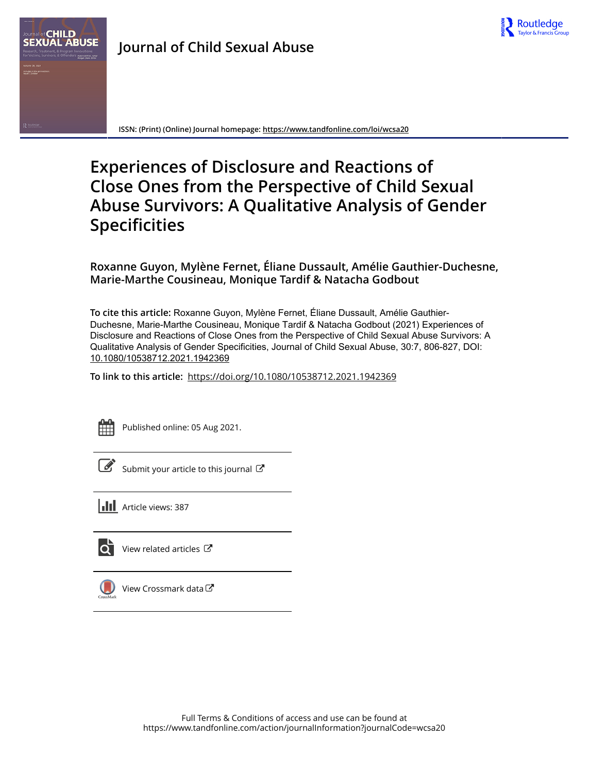

**ISSN: (Print) (Online) Journal homepage:<https://www.tandfonline.com/loi/wcsa20>**

# **Experiences of Disclosure and Reactions of Close Ones from the Perspective of Child Sexual Abuse Survivors: A Qualitative Analysis of Gender Specificities**

**Roxanne Guyon, Mylène Fernet, Éliane Dussault, Amélie Gauthier-Duchesne, Marie-Marthe Cousineau, Monique Tardif & Natacha Godbout**

**To cite this article:** Roxanne Guyon, Mylène Fernet, Éliane Dussault, Amélie Gauthier-Duchesne, Marie-Marthe Cousineau, Monique Tardif & Natacha Godbout (2021) Experiences of Disclosure and Reactions of Close Ones from the Perspective of Child Sexual Abuse Survivors: A Qualitative Analysis of Gender Specificities, Journal of Child Sexual Abuse, 30:7, 806-827, DOI: [10.1080/10538712.2021.1942369](https://www.tandfonline.com/action/showCitFormats?doi=10.1080/10538712.2021.1942369)

**To link to this article:** <https://doi.org/10.1080/10538712.2021.1942369>



Published online: 05 Aug 2021.

[Submit your article to this journal](https://www.tandfonline.com/action/authorSubmission?journalCode=wcsa20&show=instructions)  $\mathbb{Z}$ 

**Article views: 387** 



[View related articles](https://www.tandfonline.com/doi/mlt/10.1080/10538712.2021.1942369) C



[View Crossmark data](http://crossmark.crossref.org/dialog/?doi=10.1080/10538712.2021.1942369&domain=pdf&date_stamp=2021-08-05) $\mathbb{Z}$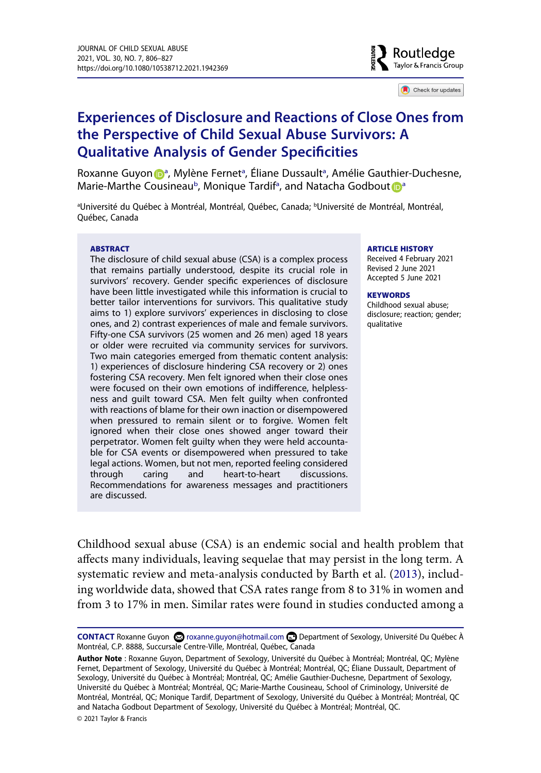

Check for updates

## **Experiences of Disclosure and Reactions of Close Ones from the Perspective of Child Sexual Abuse Survivors: A Qualitative Analysis of Gender Specificities**

Roxa[n](http://orcid.org/0000-0002-1303-0618)ne Guyon D<sup>[a](#page-1-0)</sup>, Mylène Fernet<sup>a</sup>, Éliane Dussault<sup>a</sup>, Amélie Gauthier-Duchesne, Marie-Marthe Cousineau<sup>[b](#page-1-0)</sup>, Monique T[a](#page-1-0)rdif<sup>a</sup>, and Natacha Godbout **D**<sup>a</sup>

<span id="page-1-0"></span><sup>a</sup>Université du Québec à Montréal, Montréal, Québec, Canada; <sup>b</sup>Université de Montréal, Montréal, Québec, Canada

#### **ABSTRACT**

The disclosure of child sexual abuse (CSA) is a complex process that remains partially understood, despite its crucial role in survivors' recovery. Gender specific experiences of disclosure have been little investigated while this information is crucial to better tailor interventions for survivors. This qualitative study aims to 1) explore survivors' experiences in disclosing to close ones, and 2) contrast experiences of male and female survivors. Fifty-one CSA survivors (25 women and 26 men) aged 18 years or older were recruited via community services for survivors. Two main categories emerged from thematic content analysis: 1) experiences of disclosure hindering CSA recovery or 2) ones fostering CSA recovery. Men felt ignored when their close ones were focused on their own emotions of indifference, helplessness and guilt toward CSA. Men felt guilty when confronted with reactions of blame for their own inaction or disempowered when pressured to remain silent or to forgive. Women felt ignored when their close ones showed anger toward their perpetrator. Women felt guilty when they were held accountable for CSA events or disempowered when pressured to take legal actions. Women, but not men, reported feeling considered through caring and heart-to-heart discussions. Recommendations for awareness messages and practitioners are discussed.

#### **ARTICLE HISTORY**

Received 4 February 2021 Revised 2 June 2021 Accepted 5 June 2021

#### **KEYWORDS**

Childhood sexual abuse; disclosure; reaction; gender; qualitative

<span id="page-1-1"></span>Childhood sexual abuse (CSA) is an endemic social and health problem that affects many individuals, leaving sequelae that may persist in the long term. A systematic review and meta-analysis conducted by Barth et al. ([2013\)](#page-21-0), including worldwide data, showed that CSA rates range from 8 to 31% in women and from 3 to 17% in men. Similar rates were found in studies conducted among a

**Author Note** : Roxanne Guyon, Department of Sexology, Université du Québec à Montréal; Montréal, QC; Mylène Fernet, Department of Sexology, Université du Québec à Montréal; Montréal, QC; Éliane Dussault, Department of Sexology, Université du Québec à Montréal; Montréal, QC; Amélie Gauthier-Duchesne, Department of Sexology, Université du Québec à Montréal; Montréal, QC; Marie-Marthe Cousineau, School of Criminology, Université de Montréal, Montréal, QC; Monique Tardif, Department of Sexology, Université du Québec à Montréal; Montréal, QC and Natacha Godbout Department of Sexology, Université du Québec à Montréal; Montréal, QC.

© 2021 Taylor & Francis

CONTACT Roxanne Guyon **۞** roxanne.guyon@hotmail.com **D** Department of Sexology, Université Du Québec À Montréal, C.P. 8888, Succursale Centre-Ville, Montréal, Québec, Canada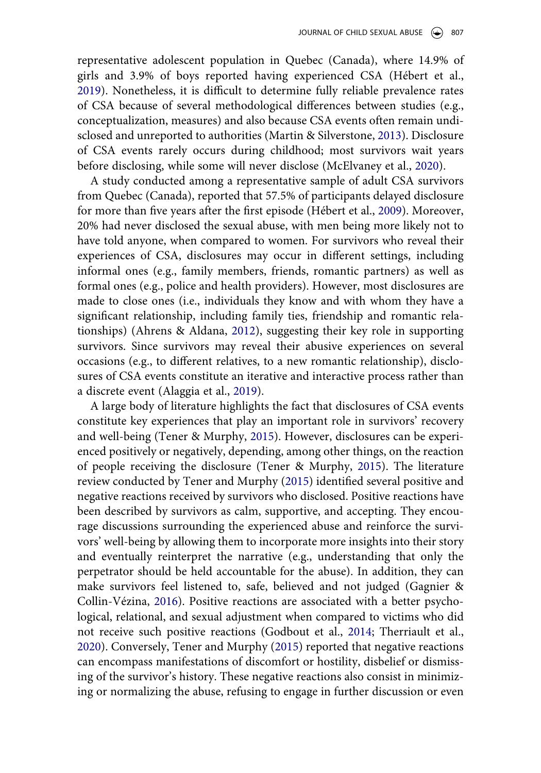<span id="page-2-4"></span>representative adolescent population in Quebec (Canada), where 14.9% of girls and 3.9% of boys reported having experienced CSA (Hébert et al., [2019](#page-21-1)). Nonetheless, it is difficult to determine fully reliable prevalence rates of CSA because of several methodological differences between studies (e.g., conceptualization, measures) and also because CSA events often remain undisclosed and unreported to authorities (Martin & Silverstone, [2013\)](#page-22-0). Disclosure of CSA events rarely occurs during childhood; most survivors wait years before disclosing, while some will never disclose (McElvaney et al., [2020\)](#page-22-1).

<span id="page-2-7"></span><span id="page-2-6"></span><span id="page-2-5"></span>A study conducted among a representative sample of adult CSA survivors from Quebec (Canada), reported that 57.5% of participants delayed disclosure for more than five years after the first episode (Hébert et al., [2009](#page-21-2)). Moreover, 20% had never disclosed the sexual abuse, with men being more likely not to have told anyone, when compared to women. For survivors who reveal their experiences of CSA, disclosures may occur in different settings, including informal ones (e.g., family members, friends, romantic partners) as well as formal ones (e.g., police and health providers). However, most disclosures are made to close ones (i.e., individuals they know and with whom they have a significant relationship, including family ties, friendship and romantic relationships) (Ahrens & Aldana, [2012\)](#page-21-3), suggesting their key role in supporting survivors. Since survivors may reveal their abusive experiences on several occasions (e.g., to different relatives, to a new romantic relationship), disclosures of CSA events constitute an iterative and interactive process rather than a discrete event (Alaggia et al., [2019\)](#page-21-4).

<span id="page-2-8"></span><span id="page-2-3"></span><span id="page-2-2"></span><span id="page-2-1"></span><span id="page-2-0"></span>A large body of literature highlights the fact that disclosures of CSA events constitute key experiences that play an important role in survivors' recovery and well-being (Tener & Murphy, [2015](#page-22-2)). However, disclosures can be experienced positively or negatively, depending, among other things, on the reaction of people receiving the disclosure (Tener & Murphy, [2015](#page-22-2)). The literature review conducted by Tener and Murphy ([2015\)](#page-22-2) identified several positive and negative reactions received by survivors who disclosed. Positive reactions have been described by survivors as calm, supportive, and accepting. They encourage discussions surrounding the experienced abuse and reinforce the survivors' well-being by allowing them to incorporate more insights into their story and eventually reinterpret the narrative (e.g., understanding that only the perpetrator should be held accountable for the abuse). In addition, they can make survivors feel listened to, safe, believed and not judged (Gagnier & Collin-Vézina, [2016\)](#page-21-5). Positive reactions are associated with a better psychological, relational, and sexual adjustment when compared to victims who did not receive such positive reactions (Godbout et al., [2014](#page-21-6); Therriault et al., [2020](#page-22-3)). Conversely, Tener and Murphy [\(2015](#page-22-2)) reported that negative reactions can encompass manifestations of discomfort or hostility, disbelief or dismissing of the survivor's history. These negative reactions also consist in minimizing or normalizing the abuse, refusing to engage in further discussion or even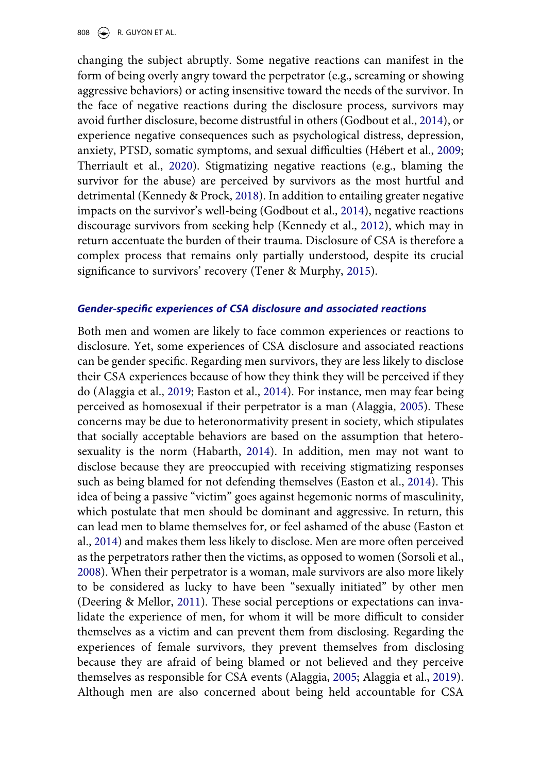808  $\left(\bigcirc\right)$  R. GUYON ET AL.

changing the subject abruptly. Some negative reactions can manifest in the form of being overly angry toward the perpetrator (e.g., screaming or showing aggressive behaviors) or acting insensitive toward the needs of the survivor. In the face of negative reactions during the disclosure process, survivors may avoid further disclosure, become distrustful in others (Godbout et al., [2014\)](#page-21-6), or experience negative consequences such as psychological distress, depression, anxiety, PTSD, somatic symptoms, and sexual difficulties (Hébert et al., [2009](#page-21-2); Therriault et al., [2020](#page-22-3)). Stigmatizing negative reactions (e.g., blaming the survivor for the abuse) are perceived by survivors as the most hurtful and detrimental (Kennedy & Prock, [2018](#page-22-4)). In addition to entailing greater negative impacts on the survivor's well-being (Godbout et al., [2014](#page-21-6)), negative reactions discourage survivors from seeking help (Kennedy et al., [2012](#page-22-5)), which may in return accentuate the burden of their trauma. Disclosure of CSA is therefore a complex process that remains only partially understood, despite its crucial significance to survivors' recovery (Tener & Murphy, [2015](#page-22-2)).

#### <span id="page-3-5"></span><span id="page-3-4"></span>*Gender-specific experiences of CSA disclosure and associated reactions*

<span id="page-3-6"></span><span id="page-3-3"></span><span id="page-3-2"></span><span id="page-3-1"></span><span id="page-3-0"></span>Both men and women are likely to face common experiences or reactions to disclosure. Yet, some experiences of CSA disclosure and associated reactions can be gender specific. Regarding men survivors, they are less likely to disclose their CSA experiences because of how they think they will be perceived if they do (Alaggia et al., [2019](#page-21-4); Easton et al., [2014](#page-21-7)). For instance, men may fear being perceived as homosexual if their perpetrator is a man (Alaggia, [2005\)](#page-21-8). These concerns may be due to heteronormativity present in society, which stipulates that socially acceptable behaviors are based on the assumption that heterosexuality is the norm (Habarth, [2014\)](#page-21-9). In addition, men may not want to disclose because they are preoccupied with receiving stigmatizing responses such as being blamed for not defending themselves (Easton et al., [2014\)](#page-21-7). This idea of being a passive "victim" goes against hegemonic norms of masculinity, which postulate that men should be dominant and aggressive. In return, this can lead men to blame themselves for, or feel ashamed of the abuse (Easton et al., [2014\)](#page-21-7) and makes them less likely to disclose. Men are more often perceived as the perpetrators rather then the victims, as opposed to women (Sorsoli et al., [2008](#page-22-6)). When their perpetrator is a woman, male survivors are also more likely to be considered as lucky to have been "sexually initiated" by other men (Deering & Mellor, [2011](#page-21-10)). These social perceptions or expectations can invalidate the experience of men, for whom it will be more difficult to consider themselves as a victim and can prevent them from disclosing. Regarding the experiences of female survivors, they prevent themselves from disclosing because they are afraid of being blamed or not believed and they perceive themselves as responsible for CSA events (Alaggia, [2005](#page-21-8); Alaggia et al., [2019](#page-21-4)). Although men are also concerned about being held accountable for CSA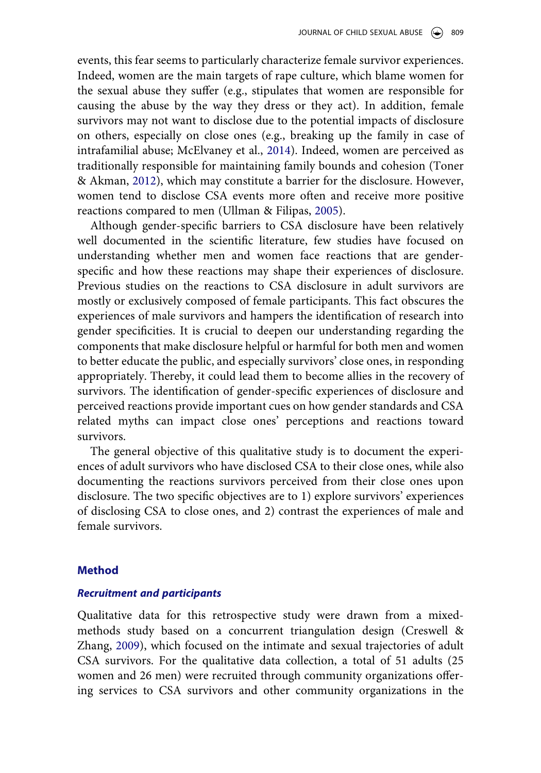events, this fear seems to particularly characterize female survivor experiences. Indeed, women are the main targets of rape culture, which blame women for the sexual abuse they suffer (e.g., stipulates that women are responsible for causing the abuse by the way they dress or they act). In addition, female survivors may not want to disclose due to the potential impacts of disclosure on others, especially on close ones (e.g., breaking up the family in case of intrafamilial abuse; McElvaney et al., [2014\)](#page-22-7). Indeed, women are perceived as traditionally responsible for maintaining family bounds and cohesion (Toner & Akman, [2012](#page-22-8)), which may constitute a barrier for the disclosure. However, women tend to disclose CSA events more often and receive more positive reactions compared to men (Ullman & Filipas, [2005](#page-22-9)).

<span id="page-4-3"></span><span id="page-4-2"></span><span id="page-4-1"></span>Although gender-specific barriers to CSA disclosure have been relatively well documented in the scientific literature, few studies have focused on understanding whether men and women face reactions that are genderspecific and how these reactions may shape their experiences of disclosure. Previous studies on the reactions to CSA disclosure in adult survivors are mostly or exclusively composed of female participants. This fact obscures the experiences of male survivors and hampers the identification of research into gender specificities. It is crucial to deepen our understanding regarding the components that make disclosure helpful or harmful for both men and women to better educate the public, and especially survivors' close ones, in responding appropriately. Thereby, it could lead them to become allies in the recovery of survivors. The identification of gender-specific experiences of disclosure and perceived reactions provide important cues on how gender standards and CSA related myths can impact close ones' perceptions and reactions toward survivors.

The general objective of this qualitative study is to document the experiences of adult survivors who have disclosed CSA to their close ones, while also documenting the reactions survivors perceived from their close ones upon disclosure. The two specific objectives are to 1) explore survivors' experiences of disclosing CSA to close ones, and 2) contrast the experiences of male and female survivors.

#### **Method**

#### *Recruitment and participants*

<span id="page-4-0"></span>Qualitative data for this retrospective study were drawn from a mixedmethods study based on a concurrent triangulation design (Creswell & Zhang, [2009](#page-21-11)), which focused on the intimate and sexual trajectories of adult CSA survivors. For the qualitative data collection, a total of 51 adults (25 women and 26 men) were recruited through community organizations offering services to CSA survivors and other community organizations in the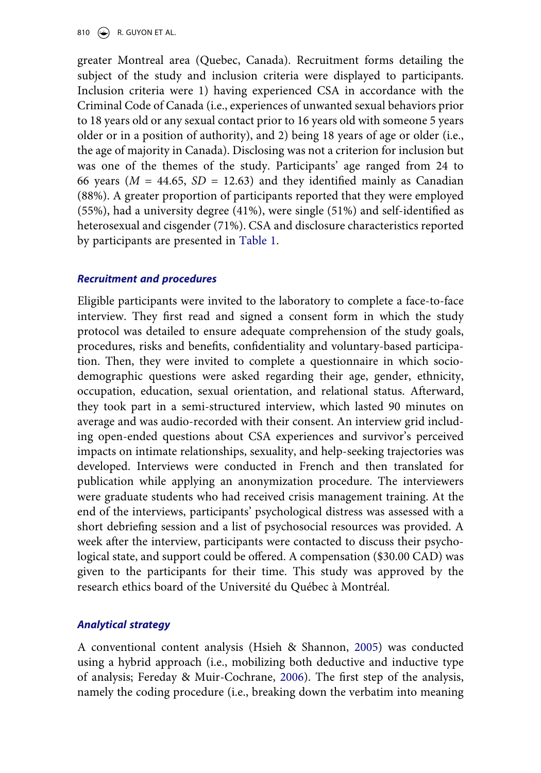810  $\left(\bigcirc\right)$  R. GUYON ET AL.

greater Montreal area (Quebec, Canada). Recruitment forms detailing the subject of the study and inclusion criteria were displayed to participants. Inclusion criteria were 1) having experienced CSA in accordance with the Criminal Code of Canada (i.e., experiences of unwanted sexual behaviors prior to 18 years old or any sexual contact prior to 16 years old with someone 5 years older or in a position of authority), and 2) being 18 years of age or older (i.e., the age of majority in Canada). Disclosing was not a criterion for inclusion but was one of the themes of the study. Participants' age ranged from 24 to 66 years ( $M = 44.65$ ,  $SD = 12.63$ ) and they identified mainly as Canadian (88%). A greater proportion of participants reported that they were employed (55%), had a university degree (41%), were single (51%) and self-identified as heterosexual and cisgender (71%). CSA and disclosure characteristics reported by participants are presented in [Table 1](#page-6-0).

#### *Recruitment and procedures*

Eligible participants were invited to the laboratory to complete a face-to-face interview. They first read and signed a consent form in which the study protocol was detailed to ensure adequate comprehension of the study goals, procedures, risks and benefits, confidentiality and voluntary-based participation. Then, they were invited to complete a questionnaire in which sociodemographic questions were asked regarding their age, gender, ethnicity, occupation, education, sexual orientation, and relational status. Afterward, they took part in a semi-structured interview, which lasted 90 minutes on average and was audio-recorded with their consent. An interview grid including open-ended questions about CSA experiences and survivor's perceived impacts on intimate relationships, sexuality, and help-seeking trajectories was developed. Interviews were conducted in French and then translated for publication while applying an anonymization procedure. The interviewers were graduate students who had received crisis management training. At the end of the interviews, participants' psychological distress was assessed with a short debriefing session and a list of psychosocial resources was provided. A week after the interview, participants were contacted to discuss their psychological state, and support could be offered. A compensation (\$30.00 CAD) was given to the participants for their time. This study was approved by the research ethics board of the Université du Québec à Montréal.

### *Analytical strategy*

<span id="page-5-1"></span><span id="page-5-0"></span>A conventional content analysis (Hsieh & Shannon, [2005](#page-21-12)) was conducted using a hybrid approach (i.e., mobilizing both deductive and inductive type of analysis; Fereday & Muir-Cochrane, [2006\)](#page-21-13). The first step of the analysis, namely the coding procedure (i.e., breaking down the verbatim into meaning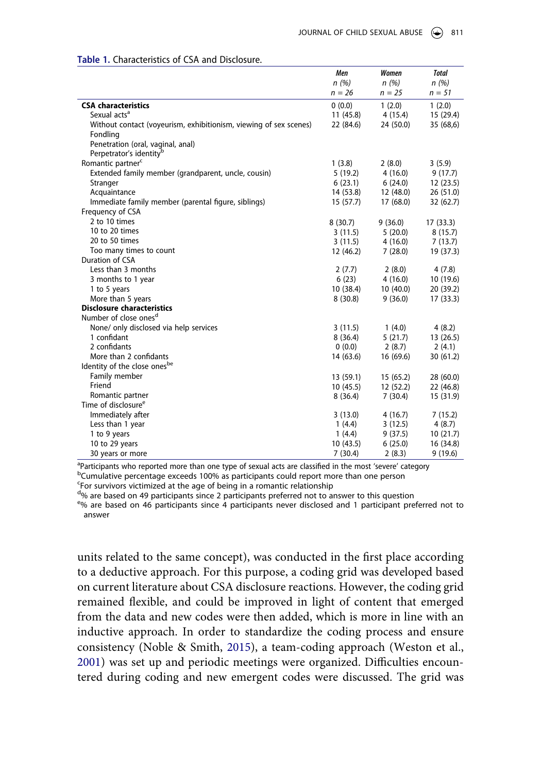|                                                                   | Men       | Women     | <b>Total</b> |
|-------------------------------------------------------------------|-----------|-----------|--------------|
|                                                                   | n(%)      | n(%)      | n(%)         |
|                                                                   | $n = 26$  | $n = 25$  | $n = 51$     |
| <b>CSA characteristics</b>                                        | 0(0.0)    | 1(2.0)    | 1(2.0)       |
| Sexual acts <sup>a</sup>                                          | 11 (45.8) | 4(15.4)   | 15 (29.4)    |
| Without contact (voyeurism, exhibitionism, viewing of sex scenes) | 22 (84.6) | 24 (50.0) | 35 (68,6)    |
| Fondling                                                          |           |           |              |
| Penetration (oral, vaginal, anal)                                 |           |           |              |
| Perpetrator's identity <sup>b</sup>                               |           |           |              |
| Romantic partner <sup>c</sup>                                     | 1(3.8)    | 2(8.0)    | 3(5.9)       |
| Extended family member (grandparent, uncle, cousin)               | 5(19.2)   | 4(16.0)   | 9(17.7)      |
| Stranger                                                          | 6(23.1)   | 6(24.0)   | 12(23.5)     |
| Acquaintance                                                      | 14 (53.8) | 12 (48.0) | 26(51.0)     |
| Immediate family member (parental figure, siblings)               | 15 (57.7) | 17 (68.0) | 32 (62.7)    |
| Frequency of CSA                                                  |           |           |              |
| 2 to 10 times                                                     | 8(30.7)   | 9(36.0)   | 17(33.3)     |
| 10 to 20 times                                                    | 3(11.5)   | 5(20.0)   | 8(15.7)      |
| 20 to 50 times                                                    | 3(11.5)   | 4(16.0)   | 7(13.7)      |
| Too many times to count                                           | 12 (46.2) | 7(28.0)   | 19 (37.3)    |
| Duration of CSA                                                   |           |           |              |
| Less than 3 months                                                | 2(7.7)    | 2(8.0)    | 4(7.8)       |
| 3 months to 1 year                                                | 6(23)     | 4(16.0)   | 10 (19.6)    |
| 1 to 5 years                                                      | 10 (38.4) | 10(40.0)  | 20 (39.2)    |
| More than 5 years                                                 | 8(30.8)   | 9(36.0)   | 17(33.3)     |
| <b>Disclosure characteristics</b>                                 |           |           |              |
| Number of close ones <sup>d</sup>                                 |           |           |              |
| None/ only disclosed via help services                            | 3(11.5)   | 1(4.0)    | 4(8.2)       |
| 1 confidant                                                       | 8(36.4)   | 5(21.7)   | 13(26.5)     |
| 2 confidants                                                      | 0(0.0)    | 2(8.7)    | 2(4.1)       |
| More than 2 confidants                                            | 14 (63.6) | 16 (69.6) | 30 (61.2)    |
| Identity of the close onesbe                                      |           |           |              |
| Family member                                                     | 13 (59.1) | 15(65.2)  | 28 (60.0)    |
| Friend                                                            | 10(45.5)  | 12 (52.2) | 22 (46.8)    |
| Romantic partner                                                  | 8(36.4)   | 7(30.4)   | 15 (31.9)    |
| Time of disclosure <sup>e</sup>                                   |           |           |              |
| Immediately after                                                 | 3(13.0)   | 4(16.7)   | 7(15.2)      |
| Less than 1 year                                                  | 1(4.4)    | 3(12.5)   | 4(8.7)       |
| 1 to 9 years                                                      | 1(4.4)    | 9(37.5)   | 10(21.7)     |
| 10 to 29 years                                                    | 10 (43.5) | 6(25.0)   | 16 (34.8)    |
| 30 years or more                                                  | 7(30.4)   | 2(8.3)    | 9(19.6)      |

#### <span id="page-6-0"></span>**Table 1.** Characteristics of CSA and Disclosure.

a Participants who reported more than one type of sexual acts are classified in the most 'severe' category<br>b cumulative percentage exceeds 100% as participants could report more than one person <sup>b</sup>Cumulative percentage exceeds 100% as participants could report more than one person

<sup>c</sup>For survivors victimized at the age of being in a romantic relationship

<sup>d</sup>% are based on 49 participants since 2 participants preferred not to answer to this question

 $e^{-\theta}$  are based on 46 participants since 4 participants never disclosed and 1 participant preferred not to answer

<span id="page-6-1"></span>units related to the same concept), was conducted in the first place according to a deductive approach. For this purpose, a coding grid was developed based on current literature about CSA disclosure reactions. However, the coding grid remained flexible, and could be improved in light of content that emerged from the data and new codes were then added, which is more in line with an inductive approach. In order to standardize the coding process and ensure consistency (Noble & Smith, [2015\)](#page-22-10), a team-coding approach (Weston et al., [2001](#page-22-11)) was set up and periodic meetings were organized. Difficulties encountered during coding and new emergent codes were discussed. The grid was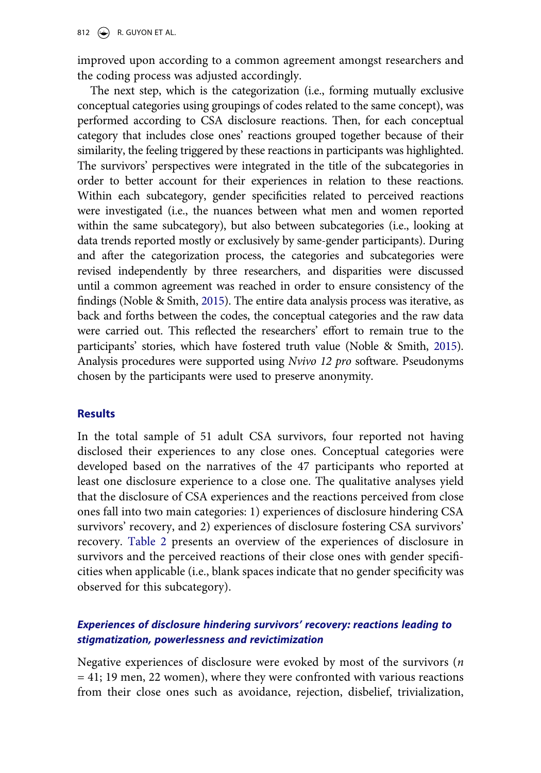improved upon according to a common agreement amongst researchers and the coding process was adjusted accordingly.

The next step, which is the categorization (i.e., forming mutually exclusive conceptual categories using groupings of codes related to the same concept), was performed according to CSA disclosure reactions. Then, for each conceptual category that includes close ones' reactions grouped together because of their similarity, the feeling triggered by these reactions in participants was highlighted. The survivors' perspectives were integrated in the title of the subcategories in order to better account for their experiences in relation to these reactions. Within each subcategory, gender specificities related to perceived reactions were investigated (i.e., the nuances between what men and women reported within the same subcategory), but also between subcategories (i.e., looking at data trends reported mostly or exclusively by same-gender participants). During and after the categorization process, the categories and subcategories were revised independently by three researchers, and disparities were discussed until a common agreement was reached in order to ensure consistency of the findings (Noble & Smith, [2015\)](#page-22-10). The entire data analysis process was iterative, as back and forths between the codes, the conceptual categories and the raw data were carried out. This reflected the researchers' effort to remain true to the participants' stories, which have fostered truth value (Noble & Smith, [2015\)](#page-22-10). Analysis procedures were supported using *Nvivo 12 pro* software. Pseudonyms chosen by the participants were used to preserve anonymity.

### **Results**

In the total sample of 51 adult CSA survivors, four reported not having disclosed their experiences to any close ones. Conceptual categories were developed based on the narratives of the 47 participants who reported at least one disclosure experience to a close one. The qualitative analyses yield that the disclosure of CSA experiences and the reactions perceived from close ones fall into two main categories: 1) experiences of disclosure hindering CSA survivors' recovery, and 2) experiences of disclosure fostering CSA survivors' recovery. [Table 2](#page-8-0) presents an overview of the experiences of disclosure in survivors and the perceived reactions of their close ones with gender specificities when applicable (i.e., blank spaces indicate that no gender specificity was observed for this subcategory).

## *Experiences of disclosure hindering survivors' recovery: reactions leading to stigmatization, powerlessness and revictimization*

Negative experiences of disclosure were evoked by most of the survivors (*n*  = 41; 19 men, 22 women), where they were confronted with various reactions from their close ones such as avoidance, rejection, disbelief, trivialization,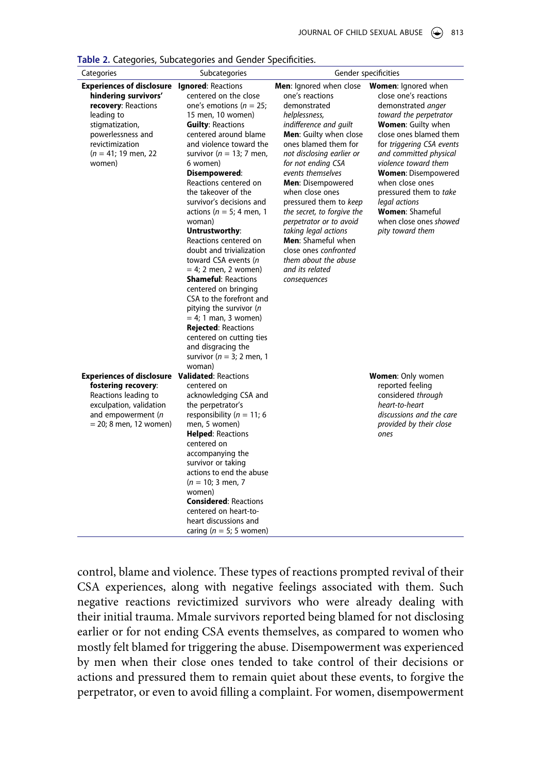<span id="page-8-0"></span>**Table 2.** Categories, Subcategories and Gender Specificities.

| Categories                                                                                                                                                                                  | Subcategories                                                                                                                                                                                                                                                                                                                                                                                                                                                                                                                                                                                                                                                                                                                                                          | Gender specificities                                                                                                                                                                                                                                                                                                                                                                                                                                                                                       |                                                                                                                                                                                                                                                                                                                                                                                                        |
|---------------------------------------------------------------------------------------------------------------------------------------------------------------------------------------------|------------------------------------------------------------------------------------------------------------------------------------------------------------------------------------------------------------------------------------------------------------------------------------------------------------------------------------------------------------------------------------------------------------------------------------------------------------------------------------------------------------------------------------------------------------------------------------------------------------------------------------------------------------------------------------------------------------------------------------------------------------------------|------------------------------------------------------------------------------------------------------------------------------------------------------------------------------------------------------------------------------------------------------------------------------------------------------------------------------------------------------------------------------------------------------------------------------------------------------------------------------------------------------------|--------------------------------------------------------------------------------------------------------------------------------------------------------------------------------------------------------------------------------------------------------------------------------------------------------------------------------------------------------------------------------------------------------|
| <b>Experiences of disclosure</b><br>hindering survivors'<br>recovery: Reactions<br>leading to<br>stigmatization,<br>powerlessness and<br>revictimization<br>$(n = 41; 19$ men, 22<br>women) | <b>Ignored: Reactions</b><br>centered on the close<br>one's emotions ( $n = 25$ ;<br>15 men, 10 women)<br><b>Guilty: Reactions</b><br>centered around blame<br>and violence toward the<br>survivor ( $n = 13$ ; 7 men,<br>6 women)<br>Disempowered:<br>Reactions centered on<br>the takeover of the<br>survivor's decisions and<br>actions ( $n = 5$ ; 4 men, 1<br>woman)<br>Untrustworthy:<br>Reactions centered on<br>doubt and trivialization<br>toward CSA events (n<br>$= 4$ ; 2 men, 2 women)<br><b>Shameful: Reactions</b><br>centered on bringing<br>CSA to the forefront and<br>pitying the survivor (n<br>$= 4$ ; 1 man, 3 women)<br><b>Rejected: Reactions</b><br>centered on cutting ties<br>and disgracing the<br>survivor ( $n = 3$ ; 2 men, 1<br>woman) | Men: Ignored when close<br>one's reactions<br>demonstrated<br>helplessness,<br>indifference and quilt<br>Men: Guilty when close<br>ones blamed them for<br>not disclosing earlier or<br>for not ending CSA<br>events themselves<br><b>Men: Disempowered</b><br>when close ones<br>pressured them to keep<br>the secret, to forgive the<br>perpetrator or to avoid<br>taking legal actions<br><b>Men:</b> Shameful when<br>close ones confronted<br>them about the abuse<br>and its related<br>consequences | <b>Women:</b> Ignored when<br>close one's reactions<br>demonstrated anger<br>toward the perpetrator<br>Women: Guilty when<br>close ones blamed them<br>for triggering CSA events<br>and committed physical<br>violence toward them<br><b>Women: Disempowered</b><br>when close ones<br>pressured them to take<br>legal actions<br><b>Women: Shameful</b><br>when close ones showed<br>pity toward them |
| <b>Experiences of disclosure Validated: Reactions</b><br>fostering recovery:<br>Reactions leading to<br>exculpation, validation<br>and empowerment (n<br>$= 20; 8$ men, 12 women)           | centered on<br>acknowledging CSA and<br>the perpetrator's<br>responsibility ( $n = 11$ ; 6<br>men, 5 women)<br><b>Helped: Reactions</b><br>centered on<br>accompanying the<br>survivor or taking<br>actions to end the abuse<br>$(n = 10; 3$ men, 7<br>women)<br><b>Considered: Reactions</b><br>centered on heart-to-<br>heart discussions and<br>caring ( $n = 5$ ; 5 women)                                                                                                                                                                                                                                                                                                                                                                                         |                                                                                                                                                                                                                                                                                                                                                                                                                                                                                                            | <b>Women: Only women</b><br>reported feeling<br>considered through<br>heart-to-heart<br>discussions and the care<br>provided by their close<br>ones                                                                                                                                                                                                                                                    |

control, blame and violence. These types of reactions prompted revival of their CSA experiences, along with negative feelings associated with them. Such negative reactions revictimized survivors who were already dealing with their initial trauma. Mmale survivors reported being blamed for not disclosing earlier or for not ending CSA events themselves, as compared to women who mostly felt blamed for triggering the abuse. Disempowerment was experienced by men when their close ones tended to take control of their decisions or actions and pressured them to remain quiet about these events, to forgive the perpetrator, or even to avoid filling a complaint. For women, disempowerment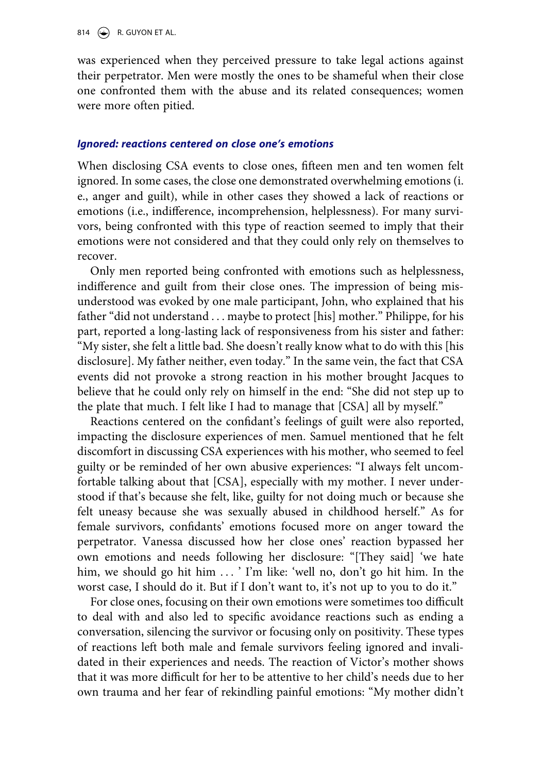814  $\leftrightarrow$  R. GUYON ET AL.

was experienced when they perceived pressure to take legal actions against their perpetrator. Men were mostly the ones to be shameful when their close one confronted them with the abuse and its related consequences; women were more often pitied.

#### *Ignored: reactions centered on close one's emotions*

When disclosing CSA events to close ones, fifteen men and ten women felt ignored. In some cases, the close one demonstrated overwhelming emotions (i. e., anger and guilt), while in other cases they showed a lack of reactions or emotions (i.e., indifference, incomprehension, helplessness). For many survivors, being confronted with this type of reaction seemed to imply that their emotions were not considered and that they could only rely on themselves to recover.

Only men reported being confronted with emotions such as helplessness, indifference and guilt from their close ones. The impression of being misunderstood was evoked by one male participant, John, who explained that his father "did not understand . . . maybe to protect [his] mother." Philippe, for his part, reported a long-lasting lack of responsiveness from his sister and father: "My sister, she felt a little bad. She doesn't really know what to do with this [his disclosure]. My father neither, even today." In the same vein, the fact that CSA events did not provoke a strong reaction in his mother brought Jacques to believe that he could only rely on himself in the end: "She did not step up to the plate that much. I felt like I had to manage that [CSA] all by myself."

Reactions centered on the confidant's feelings of guilt were also reported, impacting the disclosure experiences of men. Samuel mentioned that he felt discomfort in discussing CSA experiences with his mother, who seemed to feel guilty or be reminded of her own abusive experiences: "I always felt uncomfortable talking about that [CSA], especially with my mother. I never understood if that's because she felt, like, guilty for not doing much or because she felt uneasy because she was sexually abused in childhood herself." As for female survivors, confidants' emotions focused more on anger toward the perpetrator. Vanessa discussed how her close ones' reaction bypassed her own emotions and needs following her disclosure: "[They said] 'we hate him, we should go hit him ... ' I'm like: 'well no, don't go hit him. In the worst case, I should do it. But if I don't want to, it's not up to you to do it."

For close ones, focusing on their own emotions were sometimes too difficult to deal with and also led to specific avoidance reactions such as ending a conversation, silencing the survivor or focusing only on positivity. These types of reactions left both male and female survivors feeling ignored and invalidated in their experiences and needs. The reaction of Victor's mother shows that it was more difficult for her to be attentive to her child's needs due to her own trauma and her fear of rekindling painful emotions: "My mother didn't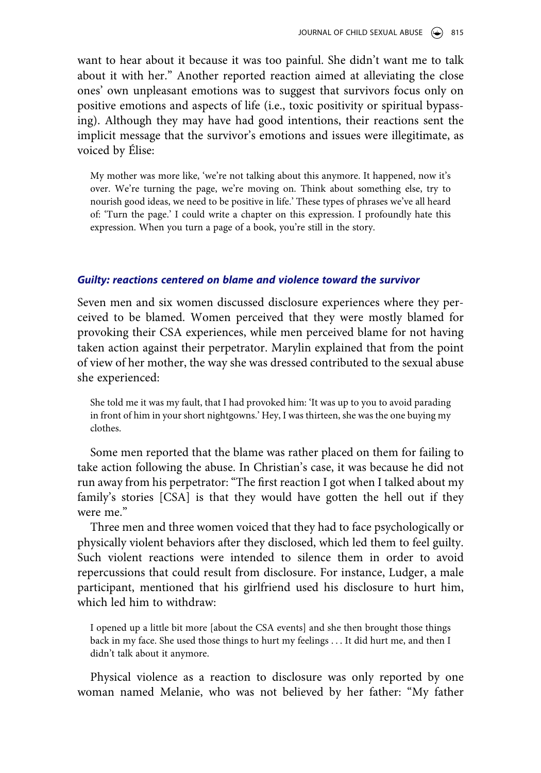want to hear about it because it was too painful. She didn't want me to talk about it with her." Another reported reaction aimed at alleviating the close ones' own unpleasant emotions was to suggest that survivors focus only on positive emotions and aspects of life (i.e., toxic positivity or spiritual bypassing). Although they may have had good intentions, their reactions sent the implicit message that the survivor's emotions and issues were illegitimate, as voiced by Élise:

My mother was more like, 'we're not talking about this anymore. It happened, now it's over. We're turning the page, we're moving on. Think about something else, try to nourish good ideas, we need to be positive in life.' These types of phrases we've all heard of: 'Turn the page.' I could write a chapter on this expression. I profoundly hate this expression. When you turn a page of a book, you're still in the story.

#### *Guilty: reactions centered on blame and violence toward the survivor*

Seven men and six women discussed disclosure experiences where they perceived to be blamed. Women perceived that they were mostly blamed for provoking their CSA experiences, while men perceived blame for not having taken action against their perpetrator. Marylin explained that from the point of view of her mother, the way she was dressed contributed to the sexual abuse she experienced:

She told me it was my fault, that I had provoked him: 'It was up to you to avoid parading in front of him in your short nightgowns.' Hey, I was thirteen, she was the one buying my clothes.

Some men reported that the blame was rather placed on them for failing to take action following the abuse. In Christian's case, it was because he did not run away from his perpetrator: "The first reaction I got when I talked about my family's stories [CSA] is that they would have gotten the hell out if they were me."

Three men and three women voiced that they had to face psychologically or physically violent behaviors after they disclosed, which led them to feel guilty. Such violent reactions were intended to silence them in order to avoid repercussions that could result from disclosure. For instance, Ludger, a male participant, mentioned that his girlfriend used his disclosure to hurt him, which led him to withdraw:

I opened up a little bit more [about the CSA events] and she then brought those things back in my face. She used those things to hurt my feelings . . . It did hurt me, and then I didn't talk about it anymore.

Physical violence as a reaction to disclosure was only reported by one woman named Melanie, who was not believed by her father: "My father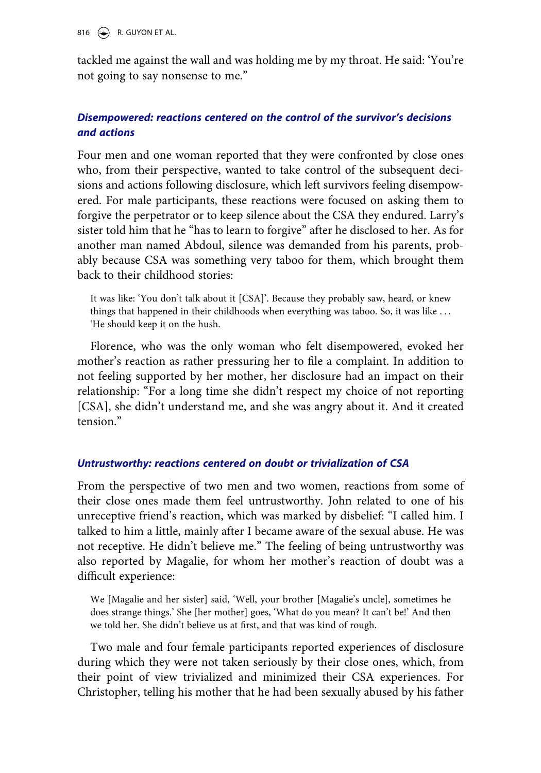816  $\leftrightarrow$  R. GUYON ET AL.

tackled me against the wall and was holding me by my throat. He said: 'You're not going to say nonsense to me."

#### *Disempowered: reactions centered on the control of the survivor's decisions and actions*

Four men and one woman reported that they were confronted by close ones who, from their perspective, wanted to take control of the subsequent decisions and actions following disclosure, which left survivors feeling disempowered. For male participants, these reactions were focused on asking them to forgive the perpetrator or to keep silence about the CSA they endured. Larry's sister told him that he "has to learn to forgive" after he disclosed to her. As for another man named Abdoul, silence was demanded from his parents, probably because CSA was something very taboo for them, which brought them back to their childhood stories:

It was like: 'You don't talk about it [CSA]'. Because they probably saw, heard, or knew things that happened in their childhoods when everything was taboo. So, it was like . . . 'He should keep it on the hush.

Florence, who was the only woman who felt disempowered, evoked her mother's reaction as rather pressuring her to file a complaint. In addition to not feeling supported by her mother, her disclosure had an impact on their relationship: "For a long time she didn't respect my choice of not reporting [CSA], she didn't understand me, and she was angry about it. And it created tension."

#### *Untrustworthy: reactions centered on doubt or trivialization of CSA*

From the perspective of two men and two women, reactions from some of their close ones made them feel untrustworthy. John related to one of his unreceptive friend's reaction, which was marked by disbelief: "I called him. I talked to him a little, mainly after I became aware of the sexual abuse. He was not receptive. He didn't believe me." The feeling of being untrustworthy was also reported by Magalie, for whom her mother's reaction of doubt was a difficult experience:

We [Magalie and her sister] said, 'Well, your brother [Magalie's uncle], sometimes he does strange things.' She [her mother] goes, 'What do you mean? It can't be!' And then we told her. She didn't believe us at first, and that was kind of rough.

Two male and four female participants reported experiences of disclosure during which they were not taken seriously by their close ones, which, from their point of view trivialized and minimized their CSA experiences. For Christopher, telling his mother that he had been sexually abused by his father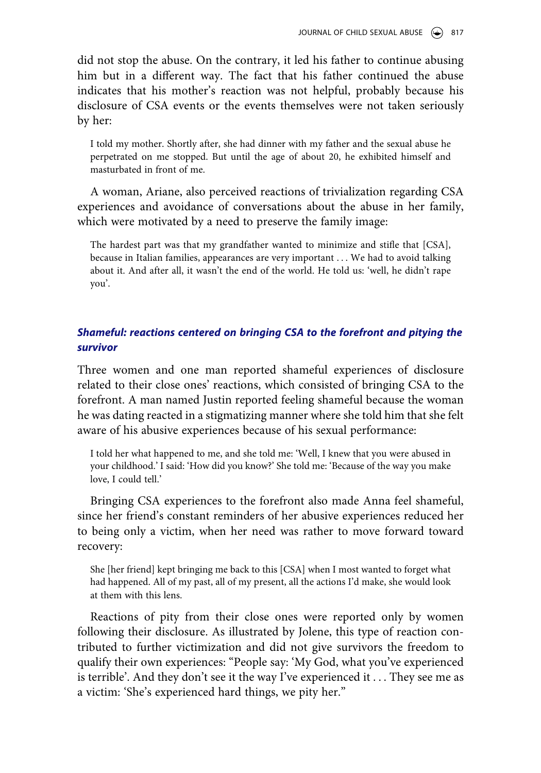did not stop the abuse. On the contrary, it led his father to continue abusing him but in a different way. The fact that his father continued the abuse indicates that his mother's reaction was not helpful, probably because his disclosure of CSA events or the events themselves were not taken seriously by her:

I told my mother. Shortly after, she had dinner with my father and the sexual abuse he perpetrated on me stopped. But until the age of about 20, he exhibited himself and masturbated in front of me.

A woman, Ariane, also perceived reactions of trivialization regarding CSA experiences and avoidance of conversations about the abuse in her family, which were motivated by a need to preserve the family image:

The hardest part was that my grandfather wanted to minimize and stifle that [CSA], because in Italian families, appearances are very important . . . We had to avoid talking about it. And after all, it wasn't the end of the world. He told us: 'well, he didn't rape you'.

#### *Shameful: reactions centered on bringing CSA to the forefront and pitying the survivor*

Three women and one man reported shameful experiences of disclosure related to their close ones' reactions, which consisted of bringing CSA to the forefront. A man named Justin reported feeling shameful because the woman he was dating reacted in a stigmatizing manner where she told him that she felt aware of his abusive experiences because of his sexual performance:

I told her what happened to me, and she told me: 'Well, I knew that you were abused in your childhood.' I said: 'How did you know?' She told me: 'Because of the way you make love, I could tell.'

Bringing CSA experiences to the forefront also made Anna feel shameful, since her friend's constant reminders of her abusive experiences reduced her to being only a victim, when her need was rather to move forward toward recovery:

She [her friend] kept bringing me back to this [CSA] when I most wanted to forget what had happened. All of my past, all of my present, all the actions I'd make, she would look at them with this lens.

Reactions of pity from their close ones were reported only by women following their disclosure. As illustrated by Jolene, this type of reaction contributed to further victimization and did not give survivors the freedom to qualify their own experiences: "People say: 'My God, what you've experienced is terrible'. And they don't see it the way I've experienced it . . . They see me as a victim: 'She's experienced hard things, we pity her."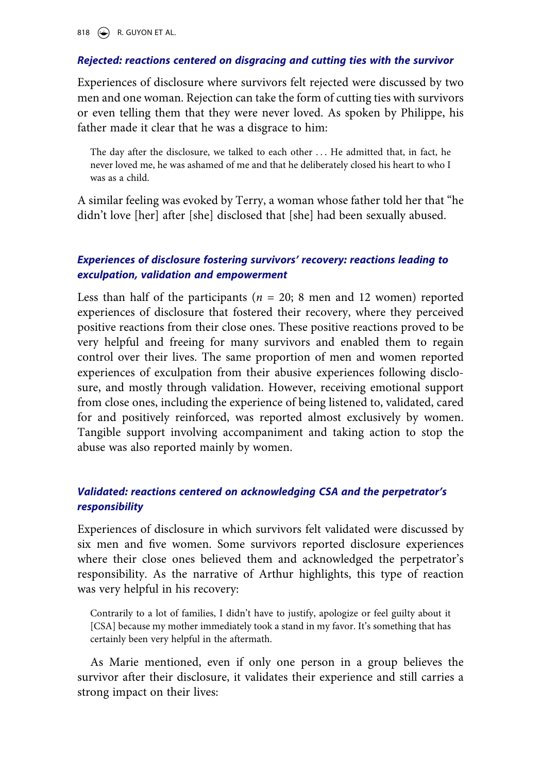818  $\left(\bigcirc\right)$  R. GUYON ET AL.

#### *Rejected: reactions centered on disgracing and cutting ties with the survivor*

Experiences of disclosure where survivors felt rejected were discussed by two men and one woman. Rejection can take the form of cutting ties with survivors or even telling them that they were never loved. As spoken by Philippe, his father made it clear that he was a disgrace to him:

The day after the disclosure, we talked to each other . . . He admitted that, in fact, he never loved me, he was ashamed of me and that he deliberately closed his heart to who I was as a child.

A similar feeling was evoked by Terry, a woman whose father told her that "he didn't love [her] after [she] disclosed that [she] had been sexually abused.

## *Experiences of disclosure fostering survivors' recovery: reactions leading to exculpation, validation and empowerment*

Less than half of the participants ( $n = 20$ ; 8 men and 12 women) reported experiences of disclosure that fostered their recovery, where they perceived positive reactions from their close ones. These positive reactions proved to be very helpful and freeing for many survivors and enabled them to regain control over their lives. The same proportion of men and women reported experiences of exculpation from their abusive experiences following disclosure, and mostly through validation. However, receiving emotional support from close ones, including the experience of being listened to, validated, cared for and positively reinforced, was reported almost exclusively by women. Tangible support involving accompaniment and taking action to stop the abuse was also reported mainly by women.

## *Validated: reactions centered on acknowledging CSA and the perpetrator's responsibility*

Experiences of disclosure in which survivors felt validated were discussed by six men and five women. Some survivors reported disclosure experiences where their close ones believed them and acknowledged the perpetrator's responsibility. As the narrative of Arthur highlights, this type of reaction was very helpful in his recovery:

Contrarily to a lot of families, I didn't have to justify, apologize or feel guilty about it [CSA] because my mother immediately took a stand in my favor. It's something that has certainly been very helpful in the aftermath.

As Marie mentioned, even if only one person in a group believes the survivor after their disclosure, it validates their experience and still carries a strong impact on their lives: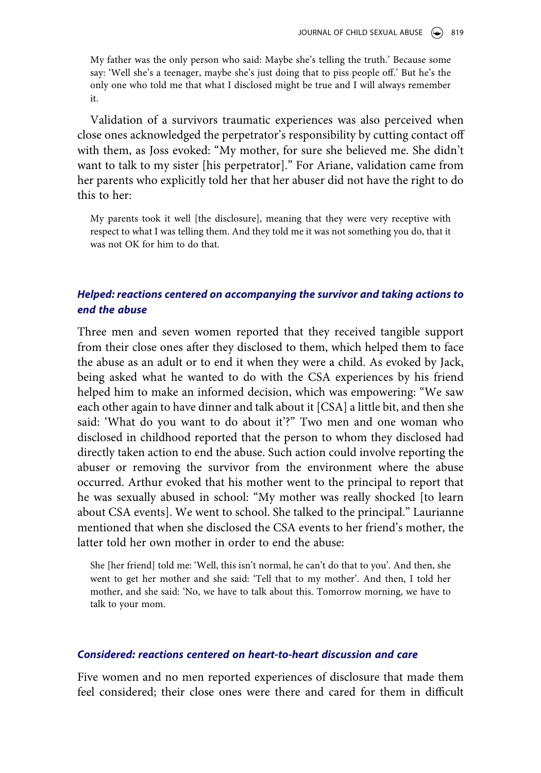My father was the only person who said: Maybe she's telling the truth.' Because some say: 'Well she's a teenager, maybe she's just doing that to piss people off.' But he's the only one who told me that what I disclosed might be true and I will always remember it.

Validation of a survivors traumatic experiences was also perceived when close ones acknowledged the perpetrator's responsibility by cutting contact off with them, as Joss evoked: "My mother, for sure she believed me. She didn't want to talk to my sister [his perpetrator]." For Ariane, validation came from her parents who explicitly told her that her abuser did not have the right to do this to her:

My parents took it well [the disclosure], meaning that they were very receptive with respect to what I was telling them. And they told me it was not something you do, that it was not OK for him to do that.

#### *Helped: reactions centered on accompanying the survivor and taking actions to end the abuse*

Three men and seven women reported that they received tangible support from their close ones after they disclosed to them, which helped them to face the abuse as an adult or to end it when they were a child. As evoked by Jack, being asked what he wanted to do with the CSA experiences by his friend helped him to make an informed decision, which was empowering: "We saw each other again to have dinner and talk about it [CSA] a little bit, and then she said: 'What do you want to do about it'?" Two men and one woman who disclosed in childhood reported that the person to whom they disclosed had directly taken action to end the abuse. Such action could involve reporting the abuser or removing the survivor from the environment where the abuse occurred. Arthur evoked that his mother went to the principal to report that he was sexually abused in school: "My mother was really shocked [to learn about CSA events]. We went to school. She talked to the principal." Laurianne mentioned that when she disclosed the CSA events to her friend's mother, the latter told her own mother in order to end the abuse:

She [her friend] told me: 'Well, this isn't normal, he can't do that to you'. And then, she went to get her mother and she said: 'Tell that to my mother'. And then, I told her mother, and she said: 'No, we have to talk about this. Tomorrow morning, we have to talk to your mom.

#### *Considered: reactions centered on heart-to-heart discussion and care*

Five women and no men reported experiences of disclosure that made them feel considered; their close ones were there and cared for them in difficult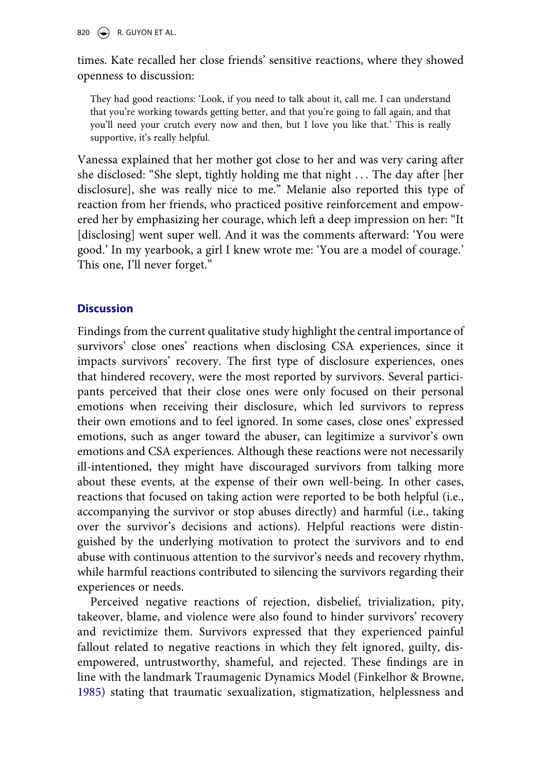820  $\leftrightarrow$  R. GUYON ET AL.

times. Kate recalled her close friends' sensitive reactions, where they showed openness to discussion:

They had good reactions: 'Look, if you need to talk about it, call me. I can understand that you're working towards getting better, and that you're going to fall again, and that you'll need your crutch every now and then, but I love you like that.' This is really supportive, it's really helpful.

Vanessa explained that her mother got close to her and was very caring after she disclosed: "She slept, tightly holding me that night . . . The day after [her disclosure], she was really nice to me." Melanie also reported this type of reaction from her friends, who practiced positive reinforcement and empowered her by emphasizing her courage, which left a deep impression on her: "It [disclosing] went super well. And it was the comments afterward: 'You were good.' In my yearbook, a girl I knew wrote me: 'You are a model of courage.' This one, I'll never forget."

### **Discussion**

Findings from the current qualitative study highlight the central importance of survivors' close ones' reactions when disclosing CSA experiences, since it impacts survivors' recovery. The first type of disclosure experiences, ones that hindered recovery, were the most reported by survivors. Several participants perceived that their close ones were only focused on their personal emotions when receiving their disclosure, which led survivors to repress their own emotions and to feel ignored. In some cases, close ones' expressed emotions, such as anger toward the abuser, can legitimize a survivor's own emotions and CSA experiences. Although these reactions were not necessarily ill-intentioned, they might have discouraged survivors from talking more about these events, at the expense of their own well-being. In other cases, reactions that focused on taking action were reported to be both helpful (i.e., accompanying the survivor or stop abuses directly) and harmful (i.e., taking over the survivor's decisions and actions). Helpful reactions were distinguished by the underlying motivation to protect the survivors and to end abuse with continuous attention to the survivor's needs and recovery rhythm, while harmful reactions contributed to silencing the survivors regarding their experiences or needs.

<span id="page-15-0"></span>Perceived negative reactions of rejection, disbelief, trivialization, pity, takeover, blame, and violence were also found to hinder survivors' recovery and revictimize them. Survivors expressed that they experienced painful fallout related to negative reactions in which they felt ignored, guilty, disempowered, untrustworthy, shameful, and rejected. These findings are in line with the landmark Traumagenic Dynamics Model (Finkelhor & Browne, [1985](#page-21-14)) stating that traumatic sexualization, stigmatization, helplessness and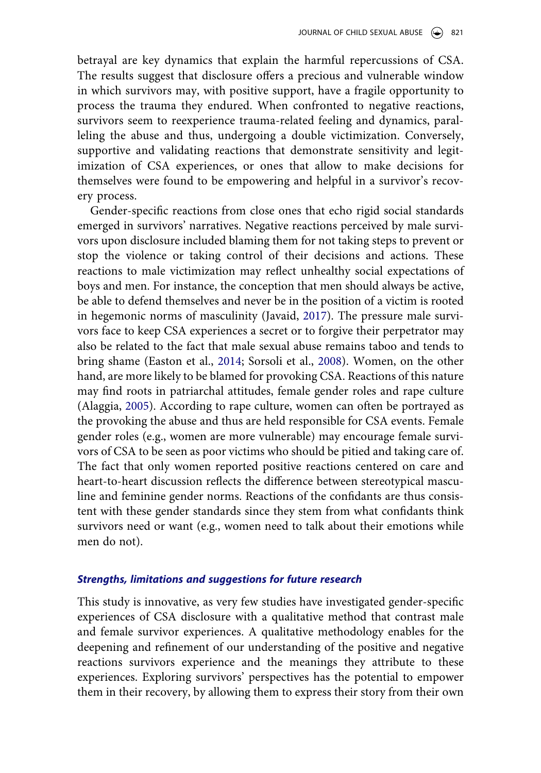betrayal are key dynamics that explain the harmful repercussions of CSA. The results suggest that disclosure offers a precious and vulnerable window in which survivors may, with positive support, have a fragile opportunity to process the trauma they endured. When confronted to negative reactions, survivors seem to reexperience trauma-related feeling and dynamics, paralleling the abuse and thus, undergoing a double victimization. Conversely, supportive and validating reactions that demonstrate sensitivity and legitimization of CSA experiences, or ones that allow to make decisions for themselves were found to be empowering and helpful in a survivor's recovery process.

<span id="page-16-0"></span>Gender-specific reactions from close ones that echo rigid social standards emerged in survivors' narratives. Negative reactions perceived by male survivors upon disclosure included blaming them for not taking steps to prevent or stop the violence or taking control of their decisions and actions. These reactions to male victimization may reflect unhealthy social expectations of boys and men. For instance, the conception that men should always be active, be able to defend themselves and never be in the position of a victim is rooted in hegemonic norms of masculinity (Javaid, [2017](#page-22-12)). The pressure male survivors face to keep CSA experiences a secret or to forgive their perpetrator may also be related to the fact that male sexual abuse remains taboo and tends to bring shame (Easton et al., [2014;](#page-21-7) Sorsoli et al., [2008](#page-22-6)). Women, on the other hand, are more likely to be blamed for provoking CSA. Reactions of this nature may find roots in patriarchal attitudes, female gender roles and rape culture (Alaggia, [2005\)](#page-21-8). According to rape culture, women can often be portrayed as the provoking the abuse and thus are held responsible for CSA events. Female gender roles (e.g., women are more vulnerable) may encourage female survivors of CSA to be seen as poor victims who should be pitied and taking care of. The fact that only women reported positive reactions centered on care and heart-to-heart discussion reflects the difference between stereotypical masculine and feminine gender norms. Reactions of the confidants are thus consistent with these gender standards since they stem from what confidants think survivors need or want (e.g., women need to talk about their emotions while men do not).

#### *Strengths, limitations and suggestions for future research*

This study is innovative, as very few studies have investigated gender-specific experiences of CSA disclosure with a qualitative method that contrast male and female survivor experiences. A qualitative methodology enables for the deepening and refinement of our understanding of the positive and negative reactions survivors experience and the meanings they attribute to these experiences. Exploring survivors' perspectives has the potential to empower them in their recovery, by allowing them to express their story from their own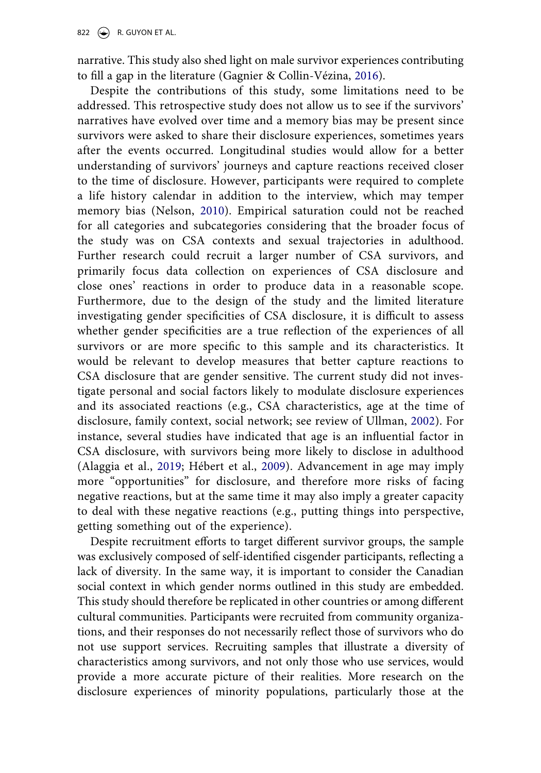narrative. This study also shed light on male survivor experiences contributing to fill a gap in the literature (Gagnier & Collin-Vézina, [2016](#page-21-5)).

<span id="page-17-0"></span>Despite the contributions of this study, some limitations need to be addressed. This retrospective study does not allow us to see if the survivors' narratives have evolved over time and a memory bias may be present since survivors were asked to share their disclosure experiences, sometimes years after the events occurred. Longitudinal studies would allow for a better understanding of survivors' journeys and capture reactions received closer to the time of disclosure. However, participants were required to complete a life history calendar in addition to the interview, which may temper memory bias (Nelson, [2010](#page-22-13)). Empirical saturation could not be reached for all categories and subcategories considering that the broader focus of the study was on CSA contexts and sexual trajectories in adulthood. Further research could recruit a larger number of CSA survivors, and primarily focus data collection on experiences of CSA disclosure and close ones' reactions in order to produce data in a reasonable scope. Furthermore, due to the design of the study and the limited literature investigating gender specificities of CSA disclosure, it is difficult to assess whether gender specificities are a true reflection of the experiences of all survivors or are more specific to this sample and its characteristics. It would be relevant to develop measures that better capture reactions to CSA disclosure that are gender sensitive. The current study did not investigate personal and social factors likely to modulate disclosure experiences and its associated reactions (e.g., CSA characteristics, age at the time of disclosure, family context, social network; see review of Ullman, [2002](#page-22-14)). For instance, several studies have indicated that age is an influential factor in CSA disclosure, with survivors being more likely to disclose in adulthood (Alaggia et al., [2019;](#page-21-4) Hébert et al., [2009](#page-21-2)). Advancement in age may imply more "opportunities" for disclosure, and therefore more risks of facing negative reactions, but at the same time it may also imply a greater capacity to deal with these negative reactions (e.g., putting things into perspective, getting something out of the experience).

<span id="page-17-1"></span>Despite recruitment efforts to target different survivor groups, the sample was exclusively composed of self-identified cisgender participants, reflecting a lack of diversity. In the same way, it is important to consider the Canadian social context in which gender norms outlined in this study are embedded. This study should therefore be replicated in other countries or among different cultural communities. Participants were recruited from community organizations, and their responses do not necessarily reflect those of survivors who do not use support services. Recruiting samples that illustrate a diversity of characteristics among survivors, and not only those who use services, would provide a more accurate picture of their realities. More research on the disclosure experiences of minority populations, particularly those at the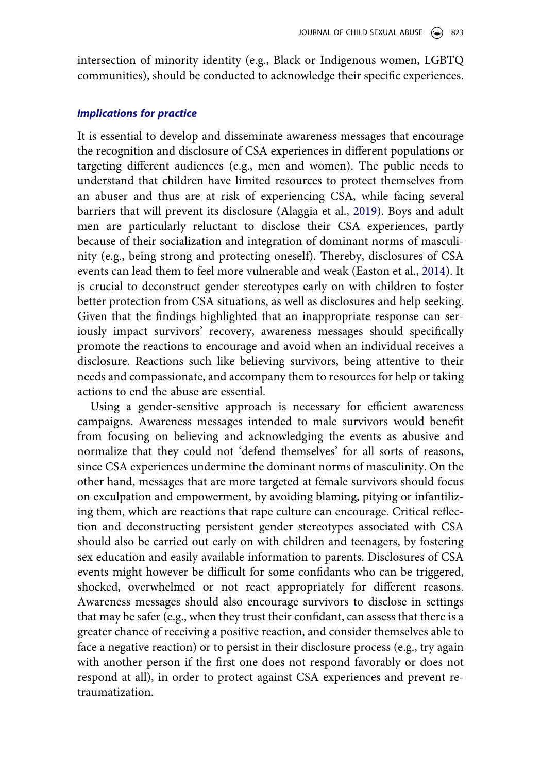intersection of minority identity (e.g., Black or Indigenous women, LGBTQ communities), should be conducted to acknowledge their specific experiences.

#### *Implications for practice*

It is essential to develop and disseminate awareness messages that encourage the recognition and disclosure of CSA experiences in different populations or targeting different audiences (e.g., men and women). The public needs to understand that children have limited resources to protect themselves from an abuser and thus are at risk of experiencing CSA, while facing several barriers that will prevent its disclosure (Alaggia et al., [2019](#page-21-4)). Boys and adult men are particularly reluctant to disclose their CSA experiences, partly because of their socialization and integration of dominant norms of masculinity (e.g., being strong and protecting oneself). Thereby, disclosures of CSA events can lead them to feel more vulnerable and weak (Easton et al., [2014](#page-21-7)). It is crucial to deconstruct gender stereotypes early on with children to foster better protection from CSA situations, as well as disclosures and help seeking. Given that the findings highlighted that an inappropriate response can seriously impact survivors' recovery, awareness messages should specifically promote the reactions to encourage and avoid when an individual receives a disclosure. Reactions such like believing survivors, being attentive to their needs and compassionate, and accompany them to resources for help or taking actions to end the abuse are essential.

Using a gender-sensitive approach is necessary for efficient awareness campaigns. Awareness messages intended to male survivors would benefit from focusing on believing and acknowledging the events as abusive and normalize that they could not 'defend themselves' for all sorts of reasons, since CSA experiences undermine the dominant norms of masculinity. On the other hand, messages that are more targeted at female survivors should focus on exculpation and empowerment, by avoiding blaming, pitying or infantilizing them, which are reactions that rape culture can encourage. Critical reflection and deconstructing persistent gender stereotypes associated with CSA should also be carried out early on with children and teenagers, by fostering sex education and easily available information to parents. Disclosures of CSA events might however be difficult for some confidants who can be triggered, shocked, overwhelmed or not react appropriately for different reasons. Awareness messages should also encourage survivors to disclose in settings that may be safer (e.g., when they trust their confidant, can assess that there is a greater chance of receiving a positive reaction, and consider themselves able to face a negative reaction) or to persist in their disclosure process (e.g., try again with another person if the first one does not respond favorably or does not respond at all), in order to protect against CSA experiences and prevent retraumatization.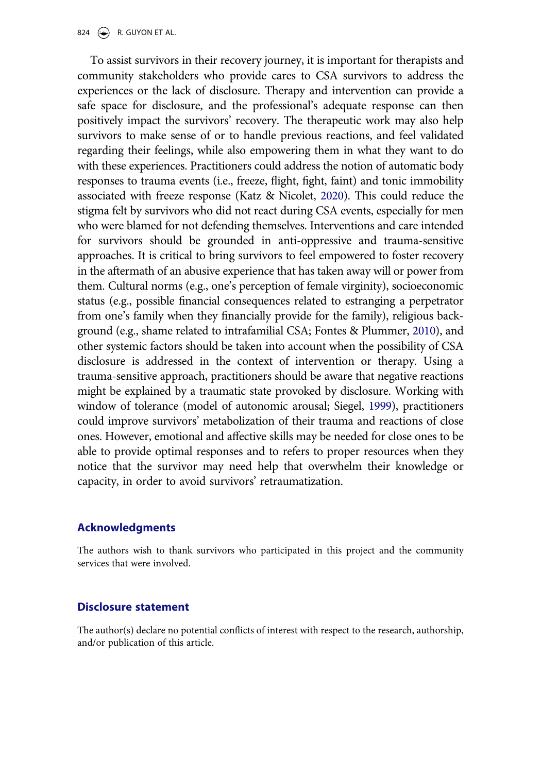<span id="page-19-1"></span>To assist survivors in their recovery journey, it is important for therapists and community stakeholders who provide cares to CSA survivors to address the experiences or the lack of disclosure. Therapy and intervention can provide a safe space for disclosure, and the professional's adequate response can then positively impact the survivors' recovery. The therapeutic work may also help survivors to make sense of or to handle previous reactions, and feel validated regarding their feelings, while also empowering them in what they want to do with these experiences. Practitioners could address the notion of automatic body responses to trauma events (i.e., freeze, flight, fight, faint) and tonic immobility associated with freeze response (Katz & Nicolet, [2020](#page-22-15)). This could reduce the stigma felt by survivors who did not react during CSA events, especially for men who were blamed for not defending themselves. Interventions and care intended for survivors should be grounded in anti-oppressive and trauma-sensitive approaches. It is critical to bring survivors to feel empowered to foster recovery in the aftermath of an abusive experience that has taken away will or power from them. Cultural norms (e.g., one's perception of female virginity), socioeconomic status (e.g., possible financial consequences related to estranging a perpetrator from one's family when they financially provide for the family), religious background (e.g., shame related to intrafamilial CSA; Fontes & Plummer, [2010\)](#page-21-15), and other systemic factors should be taken into account when the possibility of CSA disclosure is addressed in the context of intervention or therapy. Using a trauma-sensitive approach, practitioners should be aware that negative reactions might be explained by a traumatic state provoked by disclosure. Working with window of tolerance (model of autonomic arousal; Siegel, [1999\)](#page-22-16), practitioners could improve survivors' metabolization of their trauma and reactions of close ones. However, emotional and affective skills may be needed for close ones to be able to provide optimal responses and to refers to proper resources when they notice that the survivor may need help that overwhelm their knowledge or capacity, in order to avoid survivors' retraumatization.

#### <span id="page-19-2"></span><span id="page-19-0"></span>**Acknowledgments**

The authors wish to thank survivors who participated in this project and the community services that were involved.

#### **Disclosure statement**

The author(s) declare no potential conflicts of interest with respect to the research, authorship, and/or publication of this article.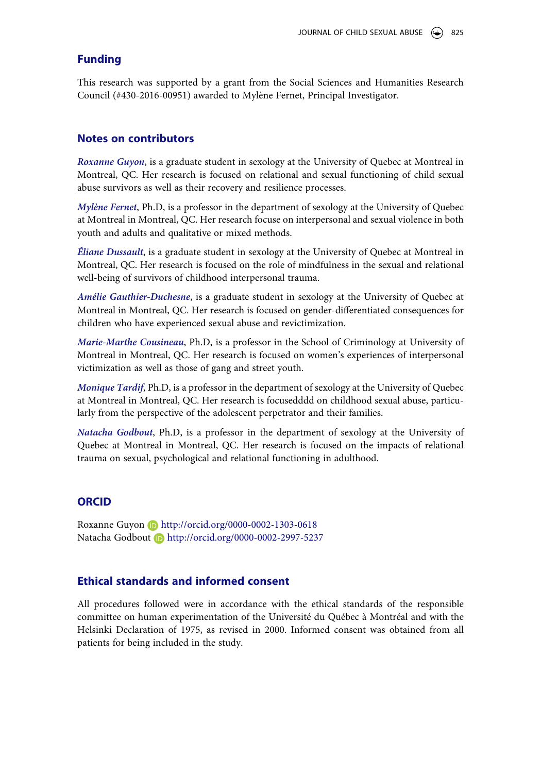#### **Funding**

This research was supported by a grant from the Social Sciences and Humanities Research Council (#430-2016-00951) awarded to Mylène Fernet, Principal Investigator.

#### **Notes on contributors**

*Roxanne Guyon*, is a graduate student in sexology at the University of Quebec at Montreal in Montreal, QC. Her research is focused on relational and sexual functioning of child sexual abuse survivors as well as their recovery and resilience processes.

*Mylène Fernet*, Ph.D, is a professor in the department of sexology at the University of Quebec at Montreal in Montreal, QC. Her research focuse on interpersonal and sexual violence in both youth and adults and qualitative or mixed methods.

*Éliane Dussault*, is a graduate student in sexology at the University of Quebec at Montreal in Montreal, QC. Her research is focused on the role of mindfulness in the sexual and relational well-being of survivors of childhood interpersonal trauma.

*Amélie Gauthier-Duchesne*, is a graduate student in sexology at the University of Quebec at Montreal in Montreal, QC. Her research is focused on gender-differentiated consequences for children who have experienced sexual abuse and revictimization.

*Marie-Marthe Cousineau*, Ph.D, is a professor in the School of Criminology at University of Montreal in Montreal, QC. Her research is focused on women's experiences of interpersonal victimization as well as those of gang and street youth.

*Monique Tardif*, Ph.D, is a professor in the department of sexology at the University of Quebec at Montreal in Montreal, QC. Her research is focusedddd on childhood sexual abuse, particularly from the perspective of the adolescent perpetrator and their families.

*Natacha Godbout*, Ph.D, is a professor in the department of sexology at the University of Quebec at Montreal in Montreal, QC. Her research is focused on the impacts of relational trauma on sexual, psychological and relational functioning in adulthood.

#### **ORCID**

Roxanne Guyon **b** http://orcid.org/0000-0002-1303-0618 Natacha Godbout **b** http://orcid.org/0000-0002-2997-5237

#### **Ethical standards and informed consent**

All procedures followed were in accordance with the ethical standards of the responsible committee on human experimentation of the Université du Québec à Montréal and with the Helsinki Declaration of 1975, as revised in 2000. Informed consent was obtained from all patients for being included in the study.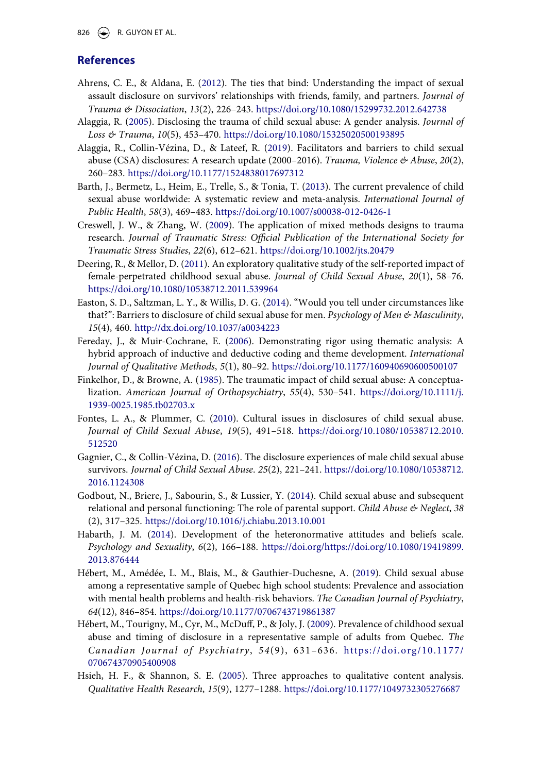826  $\bigodot$  R. GUYON ET AL.

#### **References**

- <span id="page-21-3"></span>Ahrens, C. E., & Aldana, E. ([2012](#page-2-0)). The ties that bind: Understanding the impact of sexual assault disclosure on survivors' relationships with friends, family, and partners. *Journal of Trauma & Dissociation*, *13*(2), 226–243. <https://doi.org/10.1080/15299732.2012.642738>
- <span id="page-21-8"></span>Alaggia, R. [\(2005](#page-3-0)). Disclosing the trauma of child sexual abuse: A gender analysis. *Journal of Loss & Trauma*, *10*(5), 453–470. <https://doi.org/10.1080/15325020500193895>
- <span id="page-21-4"></span>Alaggia, R., Collin-Vézina, D., & Lateef, R. [\(2019\)](#page-2-1). Facilitators and barriers to child sexual abuse (CSA) disclosures: A research update (2000–2016). *Trauma, Violence & Abuse*, *20*(2), 260–283. <https://doi.org/10.1177/1524838017697312>
- <span id="page-21-0"></span>Barth, J., Bermetz, L., Heim, E., Trelle, S., & Tonia, T. ([2013\)](#page-1-1). The current prevalence of child sexual abuse worldwide: A systematic review and meta-analysis. *International Journal of Public Health*, *58*(3), 469–483. <https://doi.org/10.1007/s00038-012-0426-1>
- <span id="page-21-11"></span>Creswell, J. W., & Zhang, W. ([2009\)](#page-4-0). The application of mixed methods designs to trauma research. *Journal of Traumatic Stress: Official Publication of the International Society for Traumatic Stress Studies*, *22*(6), 612–621. <https://doi.org/10.1002/jts.20479>
- <span id="page-21-10"></span>Deering, R., & Mellor, D. ([2011](#page-3-1)). An exploratory qualitative study of the self-reported impact of female-perpetrated childhood sexual abuse. *Journal of Child Sexual Abuse*, *20*(1), 58–76. <https://doi.org/10.1080/10538712.2011.539964>
- <span id="page-21-7"></span>Easton, S. D., Saltzman, L. Y., & Willis, D. G. [\(2014](#page-3-2)). "Would you tell under circumstances like that?": Barriers to disclosure of child sexual abuse for men. *Psychology of Men & Masculinity*, *15*(4), 460. <http://dx.doi.org/10.1037/a0034223>
- <span id="page-21-13"></span>Fereday, J., & Muir-Cochrane, E. [\(2006](#page-5-0)). Demonstrating rigor using thematic analysis: A hybrid approach of inductive and deductive coding and theme development. *International Journal of Qualitative Methods*, *5*(1), 80–92. <https://doi.org/10.1177/160940690600500107>
- <span id="page-21-14"></span>Finkelhor, D., & Browne, A. [\(1985\)](#page-15-0). The traumatic impact of child sexual abuse: A conceptualization. *American Journal of Orthopsychiatry*, *55*(4), 530–541. [https://doi.org/10.1111/j.](https://doi.org/10.1111/j.1939-0025.1985.tb02703.x) [1939-0025.1985.tb02703.x](https://doi.org/10.1111/j.1939-0025.1985.tb02703.x)
- <span id="page-21-15"></span>Fontes, L. A., & Plummer, C. ([2010\)](#page-19-0). Cultural issues in disclosures of child sexual abuse. *Journal of Child Sexual Abuse*, *19*(5), 491–518. [https://doi.org/10.1080/10538712.2010.](https://doi.org/10.1080/10538712.2010.512520) [512520](https://doi.org/10.1080/10538712.2010.512520)
- <span id="page-21-5"></span>Gagnier, C., & Collin-Vézina, D. ([2016](#page-2-2)). The disclosure experiences of male child sexual abuse survivors. *Journal of Child Sexual Abuse*. *25*(2), 221–241. [https://doi.org/10.1080/10538712.](https://doi.org/10.1080/10538712.2016.1124308)  [2016.1124308](https://doi.org/10.1080/10538712.2016.1124308)
- <span id="page-21-6"></span>Godbout, N., Briere, J., Sabourin, S., & Lussier, Y. ([2014\)](#page-2-3). Child sexual abuse and subsequent relational and personal functioning: The role of parental support. *Child Abuse & Neglect*, *38*  (2), 317–325. <https://doi.org/10.1016/j.chiabu.2013.10.001>
- <span id="page-21-9"></span>Habarth, J. M. ([2014\)](#page-3-3). Development of the heteronormative attitudes and beliefs scale. *Psychology and Sexuality*, *6*(2), 166–188. [https://doi.org/https://doi.org/10.1080/19419899.](https://doi.org/https://doi.org/10.1080/19419899.2013.876444) [2013.876444](https://doi.org/https://doi.org/10.1080/19419899.2013.876444)
- <span id="page-21-1"></span>Hébert, M., Amédée, L. M., Blais, M., & Gauthier-Duchesne, A. [\(2019\)](#page-2-4). Child sexual abuse among a representative sample of Quebec high school students: Prevalence and association with mental health problems and health-risk behaviors. *The Canadian Journal of Psychiatry*, *64*(12), 846–854. <https://doi.org/10.1177/0706743719861387>
- <span id="page-21-2"></span>Hébert, M., Tourigny, M., Cyr, M., McDuff, P., & Joly, J. [\(2009](#page-2-5)). Prevalence of childhood sexual abuse and timing of disclosure in a representative sample of adults from Quebec. *The Canadian Journal of Psychiatry*, *54*(9), 631–636. [https://doi.org/10.1177/](https://doi.org/10.1177/070674370905400908)  [070674370905400908](https://doi.org/10.1177/070674370905400908)
- <span id="page-21-12"></span>Hsieh, H. F., & Shannon, S. E. [\(2005](#page-5-1)). Three approaches to qualitative content analysis. *Qualitative Health Research*, *15*(9), 1277–1288. <https://doi.org/10.1177/1049732305276687>